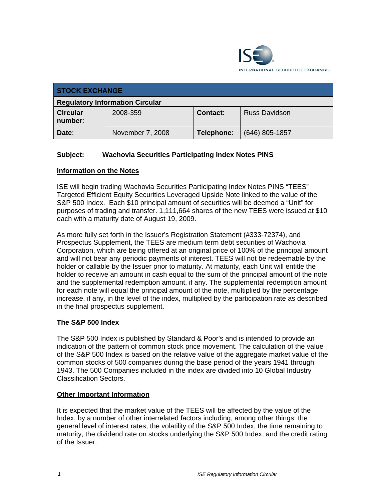

| <b>STOCK EXCHANGE</b>                  |                  |            |                      |  |
|----------------------------------------|------------------|------------|----------------------|--|
| <b>Regulatory Information Circular</b> |                  |            |                      |  |
| <b>Circular</b><br>number:             | 2008-359         | Contact:   | <b>Russ Davidson</b> |  |
| Date:                                  | November 7, 2008 | Telephone: | $(646)$ 805-1857     |  |

## **Subject: Wachovia Securities Participating Index Notes PINS**

### **Information on the Notes**

ISE will begin trading Wachovia Securities Participating Index Notes PINS "TEES" Targeted Efficient Equity Securities Leveraged Upside Note linked to the value of the S&P 500 Index. Each \$10 principal amount of securities will be deemed a "Unit" for purposes of trading and transfer. 1,111,664 shares of the new TEES were issued at \$10 each with a maturity date of August 19, 2009.

As more fully set forth in the Issuer's Registration Statement (#333-72374), and Prospectus Supplement, the TEES are medium term debt securities of Wachovia Corporation, which are being offered at an original price of 100% of the principal amount and will not bear any periodic payments of interest. TEES will not be redeemable by the holder or callable by the Issuer prior to maturity. At maturity, each Unit will entitle the holder to receive an amount in cash equal to the sum of the principal amount of the note and the supplemental redemption amount, if any. The supplemental redemption amount for each note will equal the principal amount of the note, multiplied by the percentage increase, if any, in the level of the index, multiplied by the participation rate as described in the final prospectus supplement.

## **The S&P 500 Index**

The S&P 500 Index is published by Standard & Poor's and is intended to provide an indication of the pattern of common stock price movement. The calculation of the value of the S&P 500 Index is based on the relative value of the aggregate market value of the common stocks of 500 companies during the base period of the years 1941 through 1943. The 500 Companies included in the index are divided into 10 Global Industry Classification Sectors.

#### **Other Important Information**

It is expected that the market value of the TEES will be affected by the value of the Index, by a number of other interrelated factors including, among other things: the general level of interest rates, the volatility of the S&P 500 Index, the time remaining to maturity, the dividend rate on stocks underlying the S&P 500 Index, and the credit rating of the Issuer.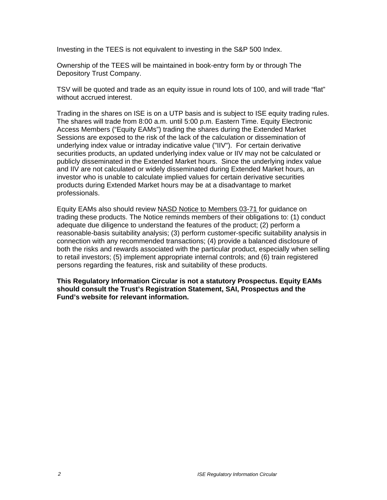Investing in the TEES is not equivalent to investing in the S&P 500 Index.

Ownership of the TEES will be maintained in book-entry form by or through The Depository Trust Company.

TSV will be quoted and trade as an equity issue in round lots of 100, and will trade "flat" without accrued interest.

Trading in the shares on ISE is on a UTP basis and is subject to ISE equity trading rules. The shares will trade from 8:00 a.m. until 5:00 p.m. Eastern Time. Equity Electronic Access Members ("Equity EAMs") trading the shares during the Extended Market Sessions are exposed to the risk of the lack of the calculation or dissemination of underlying index value or intraday indicative value ("IIV"). For certain derivative securities products, an updated underlying index value or IIV may not be calculated or publicly disseminated in the Extended Market hours. Since the underlying index value and IIV are not calculated or widely disseminated during Extended Market hours, an investor who is unable to calculate implied values for certain derivative securities products during Extended Market hours may be at a disadvantage to market professionals.

Equity EAMs also should review NASD Notice to Members 03-71 for guidance on trading these products. The Notice reminds members of their obligations to: (1) conduct adequate due diligence to understand the features of the product; (2) perform a reasonable-basis suitability analysis; (3) perform customer-specific suitability analysis in connection with any recommended transactions; (4) provide a balanced disclosure of both the risks and rewards associated with the particular product, especially when selling to retail investors; (5) implement appropriate internal controls; and (6) train registered persons regarding the features, risk and suitability of these products.

**This Regulatory Information Circular is not a statutory Prospectus. Equity EAMs should consult the Trust's Registration Statement, SAI, Prospectus and the Fund's website for relevant information.**